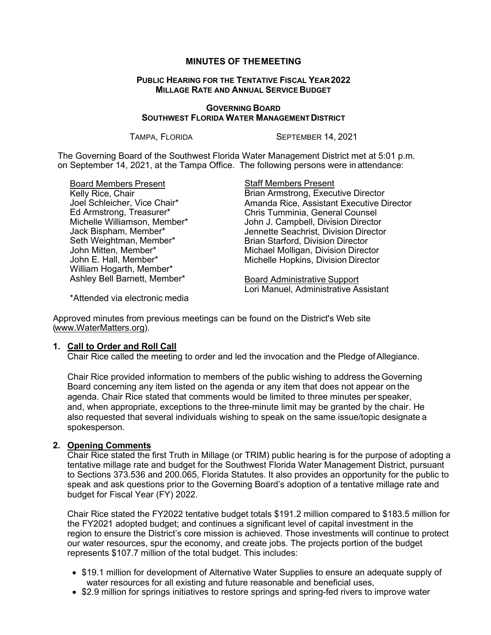## **MINUTES OF THEMEETING**

### **PUBLIC HEARING FOR THE TENTATIVE FISCAL YEAR 2022 MILLAGE RATE AND ANNUAL SERVICE BUDGET**

#### **GOVERNING BOARD SOUTHWEST FLORIDA WATER MANAGEMENT DISTRICT**

TAMPA, FLORIDA SEPTEMBER 14, 2021

The Governing Board of the Southwest Florida Water Management District met at 5:01 p.m. on September 14, 2021, at the Tampa Office. The following persons were in attendance:

Board Members Present Kelly Rice, Chair Joel Schleicher, Vice Chair\* Ed Armstrong, Treasurer\* Michelle Williamson, Member\* Jack Bispham, Member\* Seth Weightman, Member\* John Mitten, Member\* John E. Hall, Member\* William Hogarth, Member\* Ashley Bell Barnett, Member\*

Staff Members Present Brian Armstrong, Executive Director Amanda Rice, Assistant Executive Director Chris Tumminia, General Counsel John J. Campbell, Division Director Jennette Seachrist, Division Director Brian Starford, Division Director Michael Molligan, Division Director Michelle Hopkins, Division Director

Board Administrative Support Lori Manuel, Administrative Assistant

\*Attended via electronic media

Approved minutes from previous meetings can be found on the District's Web site [\(www.WaterMatters.org\)](http://www.watermatters.org/).

## **1. Call to Order and Roll Call**

Chair Rice called the meeting to order and led the invocation and the Pledge ofAllegiance.

Chair Rice provided information to members of the public wishing to address the Governing Board concerning any item listed on the agenda or any item that does not appear on the agenda. Chair Rice stated that comments would be limited to three minutes per speaker, and, when appropriate, exceptions to the three-minute limit may be granted by the chair. He also requested that several individuals wishing to speak on the same issue/topic designate a spokesperson.

### **2. Opening Comments**

Chair Rice stated the first Truth in Millage (or TRIM) public hearing is for the purpose of adopting a tentative millage rate and budget for the Southwest Florida Water Management District, pursuant to Sections 373.536 and 200.065, Florida Statutes. It also provides an opportunity for the public to speak and ask questions prior to the Governing Board's adoption of a tentative millage rate and budget for Fiscal Year (FY) 2022.

Chair Rice stated the FY2022 tentative budget totals \$191.2 million compared to \$183.5 million for the FY2021 adopted budget; and continues a significant level of capital investment in the region to ensure the District's core mission is achieved. Those investments will continue to protect our water resources, spur the economy, and create jobs. The projects portion of the budget represents \$107.7 million of the total budget. This includes:

- \$19.1 million for development of Alternative Water Supplies to ensure an adequate supply of water resources for all existing and future reasonable and beneficial uses,
- \$2.9 million for springs initiatives to restore springs and spring-fed rivers to improve water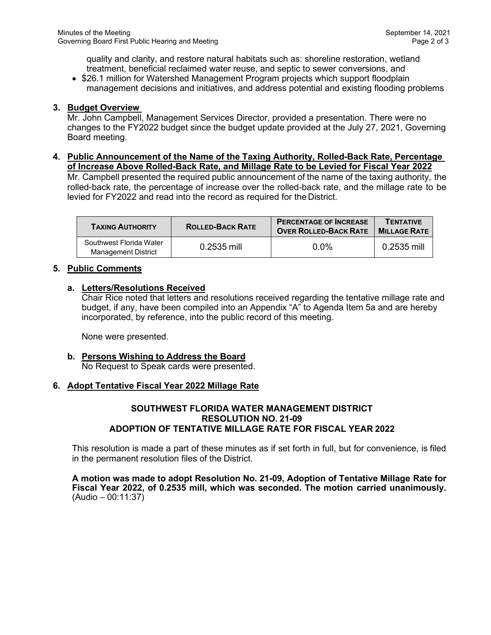quality and clarity, and restore natural habitats such as: shoreline restoration, wetland treatment, beneficial reclaimed water reuse, and septic to sewer conversions, and

• \$26.1 million for Watershed Management Program projects which support floodplain management decisions and initiatives, and address potential and existing flooding problems

## **3. Budget Overview**

Mr. John Campbell, Management Services Director, provided a presentation. There were no changes to the FY2022 budget since the budget update provided at the July 27, 2021, Governing Board meeting.

**4. Public Announcement of the Name of the Taxing Authority, Rolled-Back Rate, Percentage of Increase Above Rolled-Back Rate, and Millage Rate to be Levied for Fiscal Year 2022**

Mr. Campbell presented the required public announcement of the name of the taxing authority, the rolled-back rate, the percentage of increase over the rolled-back rate, and the millage rate to be levied for FY2022 and read into the record as required for the District.

| <b>TAXING AUTHORITY</b>                        | <b>ROLLED-BACK RATE</b> | <b>PERCENTAGE OF INCREASE</b><br><b>OVER ROLLED-BACK RATE</b> | <b>TENTATIVE</b><br><b>MILLAGE RATE</b> |
|------------------------------------------------|-------------------------|---------------------------------------------------------------|-----------------------------------------|
| Southwest Florida Water<br>Management District | $0.2535$ mill           | $0.0\%$                                                       | 0.2535 mill                             |

## **5. Public Comments**

## **a. Letters/Resolutions Received**

Chair Rice noted that letters and resolutions received regarding the tentative millage rate and budget, if any, have been compiled into an Appendix "A" to Agenda Item 5a and are hereby incorporated, by reference, into the public record of this meeting.

None were presented.

# **b. Persons Wishing to Address the Board**

No Request to Speak cards were presented.

## **6. Adopt Tentative Fiscal Year 2022 Millage Rate**

### **SOUTHWEST FLORIDA WATER MANAGEMENT DISTRICT RESOLUTION NO. 21-09 ADOPTION OF TENTATIVE MILLAGE RATE FOR FISCAL YEAR 2022**

This resolution is made a part of these minutes as if set forth in full, but for convenience, is filed in the permanent resolution files of the District.

**A motion was made to adopt Resolution No. 21-09, Adoption of Tentative Millage Rate for Fiscal Year 2022, of 0.2535 mill, which was seconded. The motion carried unanimously.**  (Audio – 00:11:37)